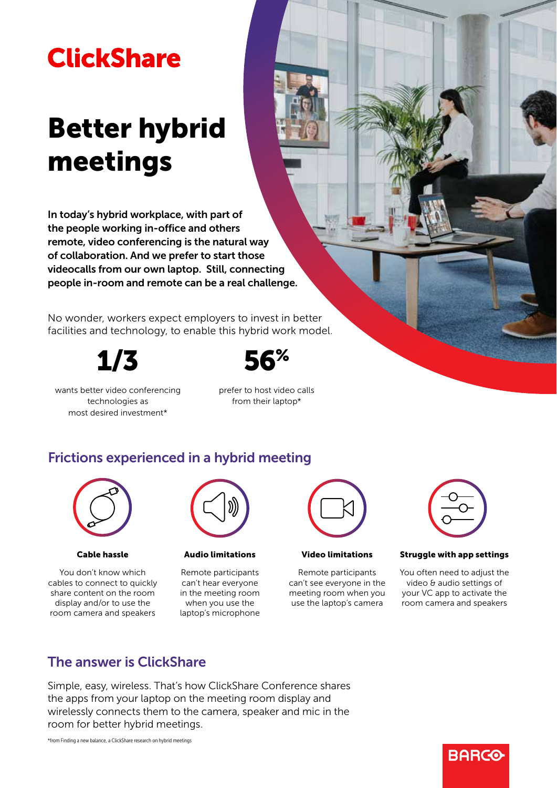## **ClickShare**

# Better hybrid meetings

In today's hybrid workplace, with part of the people working in-office and others remote, video conferencing is the natural way of collaboration. And we prefer to start those videocalls from our own laptop. Still, connecting people in-room and remote can be a real challenge.

No wonder, workers expect employers to invest in better facilities and technology, to enable this hybrid work model.

1/3



wants better video conferencing technologies as most desired investment\*

prefer to host video calls from their laptop\*

## Frictions experienced in a hybrid meeting



## Cable hassle

You don't know which cables to connect to quickly share content on the room display and/or to use the room camera and speakers



Audio limitations

Remote participants can't hear everyone in the meeting room when you use the laptop's microphone



Video limitations

Remote participants can't see everyone in the meeting room when you use the laptop's camera



## Struggle with app settings

You often need to adjust the video & audio settings of your VC app to activate the room camera and speakers

## The answer is ClickShare

Simple, easy, wireless. That's how ClickShare Conference shares the apps from your laptop on the meeting room display and wirelessly connects them to the camera, speaker and mic in the room for better hybrid meetings.